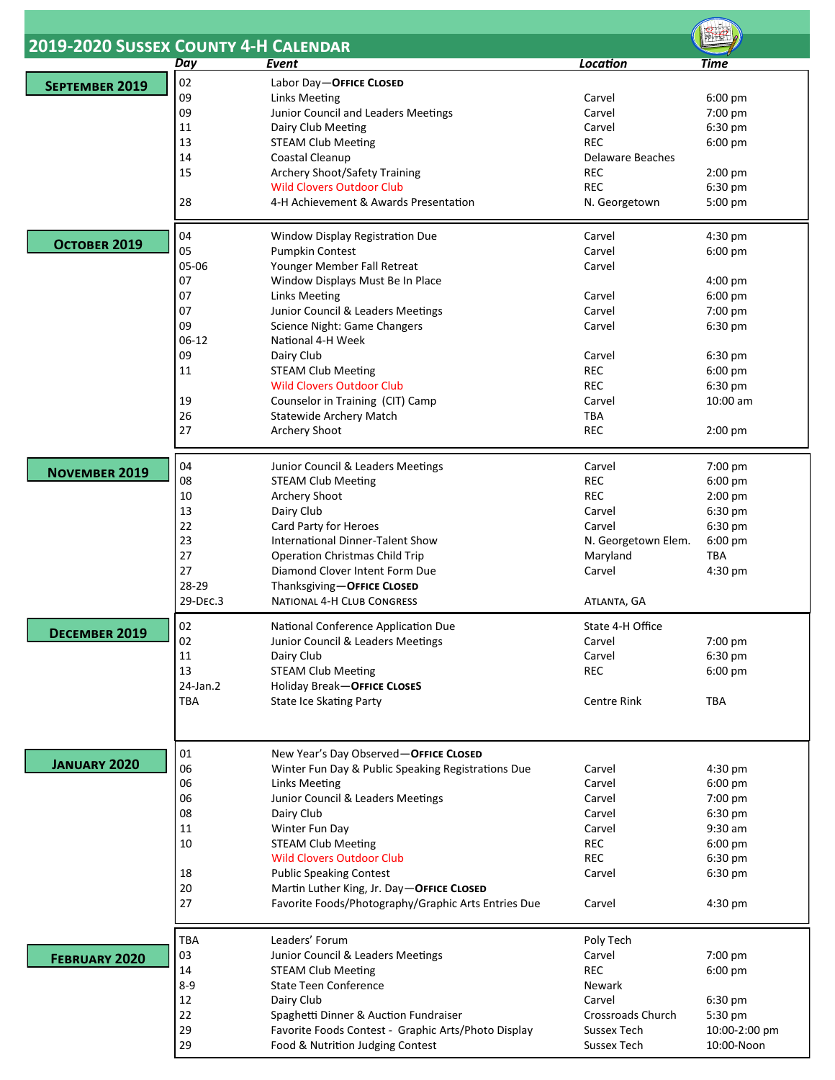|                      |          | 2019-2020 SUSSEX COUNTY 4-H CALENDAR                                                    |                            |                             |  |
|----------------------|----------|-----------------------------------------------------------------------------------------|----------------------------|-----------------------------|--|
|                      | Day      | Event                                                                                   | <b>Location</b>            | Time                        |  |
|                      | 02       | Labor Day-OFFICE CLOSED                                                                 |                            |                             |  |
| SEPTEMBER 2019       | 09       |                                                                                         | Carvel                     | 6:00 pm                     |  |
|                      |          | Links Meeting                                                                           |                            |                             |  |
|                      | 09       | Junior Council and Leaders Meetings                                                     | Carvel                     | 7:00 pm                     |  |
|                      | 11       | Dairy Club Meeting                                                                      | Carvel                     | 6:30 pm                     |  |
|                      | 13       | <b>STEAM Club Meeting</b>                                                               | <b>REC</b>                 | 6:00 pm                     |  |
|                      | 14       | Coastal Cleanup                                                                         | Delaware Beaches           |                             |  |
|                      | 15       | <b>Archery Shoot/Safety Training</b>                                                    | <b>REC</b>                 | 2:00 pm                     |  |
|                      |          | <b>Wild Clovers Outdoor Club</b>                                                        | <b>REC</b>                 | 6:30 pm                     |  |
|                      | 28       | 4-H Achievement & Awards Presentation                                                   | N. Georgetown              | 5:00 pm                     |  |
|                      | 04       | Window Display Registration Due                                                         | Carvel                     | 4:30 pm                     |  |
| OCTOBER 2019         | 05       | Pumpkin Contest                                                                         | Carvel                     | 6:00 pm                     |  |
|                      | 05-06    | Younger Member Fall Retreat                                                             | Carvel                     |                             |  |
|                      |          |                                                                                         |                            |                             |  |
|                      | 07       | Window Displays Must Be In Place                                                        |                            | 4:00 pm                     |  |
|                      | 07       | Links Meeting                                                                           | Carvel                     | 6:00 pm                     |  |
|                      | 07       | Junior Council & Leaders Meetings                                                       | Carvel                     | 7:00 pm                     |  |
|                      | 09       | Science Night: Game Changers                                                            | Carvel                     | 6:30 pm                     |  |
|                      | $06-12$  | National 4-H Week                                                                       |                            |                             |  |
|                      | 09       | Dairy Club                                                                              | Carvel                     | 6:30 pm                     |  |
|                      | 11       | <b>STEAM Club Meeting</b>                                                               | <b>REC</b>                 | 6:00 pm                     |  |
|                      |          | <b>Wild Clovers Outdoor Club</b>                                                        | <b>REC</b>                 |                             |  |
|                      |          |                                                                                         |                            | 6:30 pm                     |  |
|                      | 19       | Counselor in Training (CIT) Camp                                                        | Carvel                     | 10:00 am                    |  |
|                      | 26       | Statewide Archery Match                                                                 | TBA                        |                             |  |
|                      | 27       | Archery Shoot                                                                           | <b>REC</b>                 | 2:00 pm                     |  |
|                      | 04       | Junior Council & Leaders Meetings                                                       | Carvel                     | 7:00 pm                     |  |
| <b>NOVEMBER 2019</b> | 08       | <b>STEAM Club Meeting</b>                                                               | <b>REC</b>                 | 6:00 pm                     |  |
|                      | 10       | Archery Shoot                                                                           | <b>REC</b>                 |                             |  |
|                      |          |                                                                                         |                            | 2:00 pm                     |  |
|                      | 13       | Dairy Club                                                                              | Carvel                     | 6:30 pm                     |  |
|                      | 22       | Card Party for Heroes                                                                   | Carvel                     | 6:30 pm                     |  |
|                      | 23       | International Dinner-Talent Show                                                        | N. Georgetown Elem.        | $6:00$ pm                   |  |
|                      | 27       | <b>Operation Christmas Child Trip</b>                                                   | Maryland                   | <b>TBA</b>                  |  |
|                      | 27       | Diamond Clover Intent Form Due                                                          | Carvel                     | 4:30 pm                     |  |
|                      | 28-29    | Thanksgiving-OFFICE CLOSED                                                              |                            |                             |  |
|                      | 29-DEC.3 | <b>NATIONAL 4-H CLUB CONGRESS</b>                                                       | ATLANTA, GA                |                             |  |
| DECEMBER 2019        | 02       | National Conference Application Due                                                     | State 4-H Office           |                             |  |
|                      | 02       | Junior Council & Leaders Meetings                                                       | Carvel                     | 7:00 pm                     |  |
|                      | 11       | Dairy Club                                                                              | Carvel                     | 6:30 pm                     |  |
|                      | 13       | <b>STEAM Club Meeting</b>                                                               | <b>REC</b>                 | 6:00 pm                     |  |
|                      | 24-Jan.2 | Holiday Break-OFFICE CLOSES                                                             |                            |                             |  |
|                      |          |                                                                                         |                            |                             |  |
|                      | TBA      | <b>State Ice Skating Party</b>                                                          | <b>Centre Rink</b>         | <b>TBA</b>                  |  |
|                      |          |                                                                                         |                            |                             |  |
| <b>JANUARY 2020</b>  | 01<br>06 | New Year's Day Observed-OFFICE CLOSED                                                   | Carvel                     | $4:30$ pm                   |  |
|                      |          | Winter Fun Day & Public Speaking Registrations Due                                      |                            |                             |  |
|                      | 06       | Links Meeting                                                                           | Carvel                     | 6:00 pm                     |  |
|                      | 06       | Junior Council & Leaders Meetings                                                       | Carvel                     | 7:00 pm                     |  |
|                      | 08       | Dairy Club                                                                              | Carvel                     | 6:30 pm                     |  |
|                      | 11       | Winter Fun Day                                                                          | Carvel                     | 9:30 am                     |  |
|                      | 10       | <b>STEAM Club Meeting</b>                                                               | <b>REC</b>                 | 6:00 pm                     |  |
|                      |          | <b>Wild Clovers Outdoor Club</b>                                                        | <b>REC</b>                 | 6:30 pm                     |  |
|                      | 18       | <b>Public Speaking Contest</b>                                                          | Carvel                     | 6:30 pm                     |  |
|                      |          |                                                                                         |                            |                             |  |
|                      | 20       | Martin Luther King, Jr. Day-OFFICE CLOSED                                               |                            |                             |  |
|                      | 27       | Favorite Foods/Photography/Graphic Arts Entries Due                                     | Carvel                     | $4:30$ pm                   |  |
|                      | TBA      | Leaders' Forum                                                                          | Poly Tech                  |                             |  |
| <b>FEBRUARY 2020</b> | 03       | Junior Council & Leaders Meetings                                                       | Carvel                     | 7:00 pm                     |  |
|                      | 14       | <b>STEAM Club Meeting</b>                                                               | <b>REC</b>                 | 6:00 pm                     |  |
|                      | $8 - 9$  | <b>State Teen Conference</b>                                                            | Newark                     |                             |  |
|                      |          |                                                                                         |                            |                             |  |
|                      | 12       | Dairy Club                                                                              | Carvel                     | 6:30 pm                     |  |
|                      | 22       | Spaghetti Dinner & Auction Fundraiser                                                   | Crossroads Church          | 5:30 pm                     |  |
|                      |          |                                                                                         |                            |                             |  |
|                      | 29<br>29 | Favorite Foods Contest - Graphic Arts/Photo Display<br>Food & Nutrition Judging Contest | Sussex Tech<br>Sussex Tech | 10:00-2:00 pm<br>10:00-Noon |  |